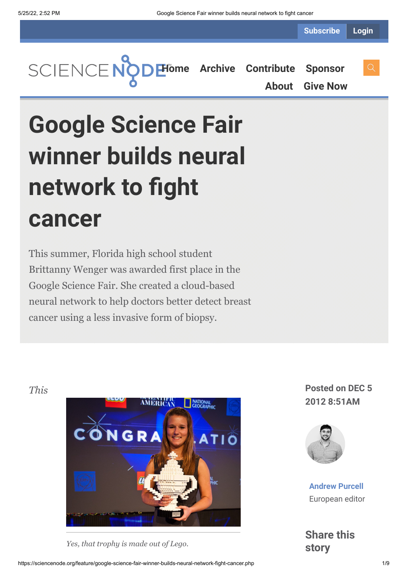**Subscribe Login**

**[Home](https://sciencenode.org/) [Archive](https://sciencenode.org/archive/index.php) [Contribute](https://sciencenode.org/contribute/index.php) [Sponsor](https://sciencenode.org/sponsor/index.php) [About](https://sciencenode.org/about/index.php) [Give Now](https://sciencenode.org/donate/index.php)**

# **Google Science Fair winner builds neural network to fight cancer**

This summer, Florida high school student Brittanny Wenger was awarded first place in the Google Science Fair. She created a cloud-based neural network to help doctors better detect breast cancer using a less invasive form of biopsy.



*Yes, that trophy is made out of Lego.*

**2012 8:51AM**



**[Andrew Purcell](https://sciencenode.org/author/andrew-purcell.php)** European editor

**Share this story**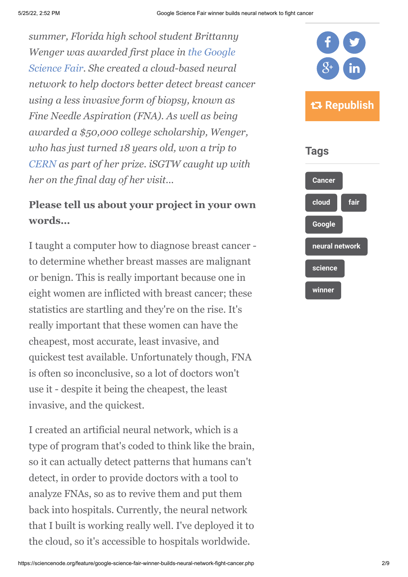*summer, Florida high school student Brittanny Wenger was awarded first place in the Google [Science Fair. She created a cloud-based neural](http://www.google.com/intl/en/events/sciencefair/index.html) network to help doctors better detect breast cancer using a less invasive form of biopsy, known as Fine Needle Aspiration (FNA). As well as being awarded a \$50,000 college scholarship, Wenger, who has just turned 18 years old, won a trip to [CERN](http://www.cern.ch/) as part of her prize. iSGTW caught up with her on the final day of her visit...*

## **Please tell us about your project in your own words…**

I taught a computer how to diagnose breast cancer to determine whether breast masses are malignant or benign. This is really important because one in eight women are inflicted with breast cancer; these statistics are startling and they're on the rise. It's really important that these women can have the cheapest, most accurate, least invasive, and quickest test available. Unfortunately though, FNA is often so inconclusive, so a lot of doctors won't use it - despite it being the cheapest, the least invasive, and the quickest.

I created an artificial neural network, which is a type of program that's coded to think like the brain, so it can actually detect patterns that humans can't detect, in order to provide doctors with a tool to analyze FNAs, so as to revive them and put them back into hospitals. Currently, the neural network that I built is working really well. I've deployed it to the cloud, so it's accessible to hospitals worldwide.



## **Tags**

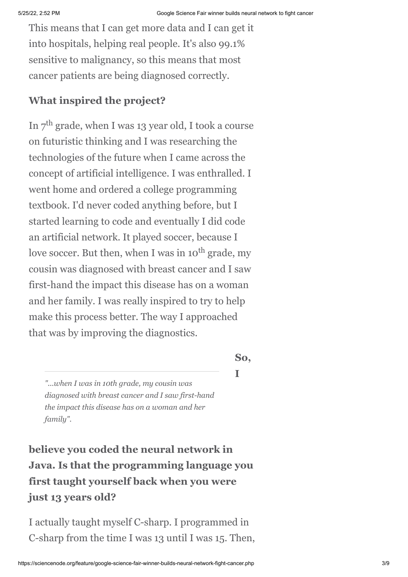This means that I can get more data and I can get it into hospitals, helping real people. It's also 99.1% sensitive to malignancy, so this means that most cancer patients are being diagnosed correctly.

#### **What inspired the project?**

In  $7^{\text{th}}$  grade, when I was 13 year old, I took a course on futuristic thinking and I was researching the technologies of the future when I came across the concept of artificial intelligence. I was enthralled. I went home and ordered a college programming textbook. I'd never coded anything before, but I started learning to code and eventually I did code an artificial network. It played soccer, because I love soccer. But then, when I was in 10<sup>th</sup> grade, my cousin was diagnosed with breast cancer and I saw first-hand the impact this disease has on a woman and her family. I was really inspired to try to help make this process better. The way I approached that was by improving the diagnostics.

#### **So,**

**I**

*"...when I was in 10th grade, my cousin was diagnosed with breast cancer and I saw first-hand the impact this disease has on a woman and her family".*

**believe you coded the neural network in Java. Is that the programming language you first taught yourself back when you were just 13 years old?**

I actually taught myself C-sharp. I programmed in C-sharp from the time I was 13 until I was 15. Then,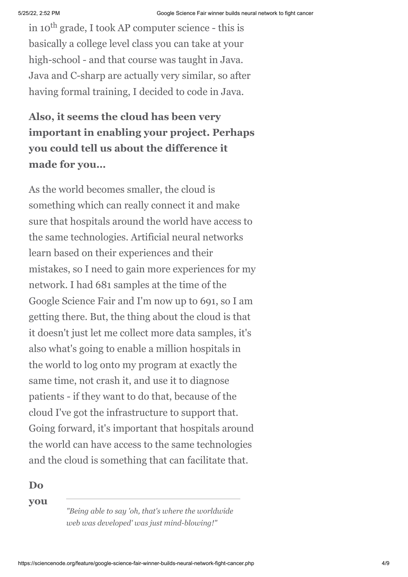in 10<sup>th</sup> grade, I took AP computer science - this is basically a college level class you can take at your high-school - and that course was taught in Java. Java and C-sharp are actually very similar, so after having formal training, I decided to code in Java.

## **Also, it seems the cloud has been very important in enabling your project. Perhaps you could tell us about the difference it made for you…**

As the world becomes smaller, the cloud is something which can really connect it and make sure that hospitals around the world have access to the same technologies. Artificial neural networks learn based on their experiences and their mistakes, so I need to gain more experiences for my network. I had 681 samples at the time of the Google Science Fair and I'm now up to 691, so I am getting there. But, the thing about the cloud is that it doesn't just let me collect more data samples, it's also what's going to enable a million hospitals in the world to log onto my program at exactly the same time, not crash it, and use it to diagnose patients - if they want to do that, because of the cloud I've got the infrastructure to support that. Going forward, it's important that hospitals around the world can have access to the same technologies and the cloud is something that can facilitate that.

**Do**

**you**

*"Being able to say 'oh, that's where the worldwide web was developed' was just mind-blowing!"*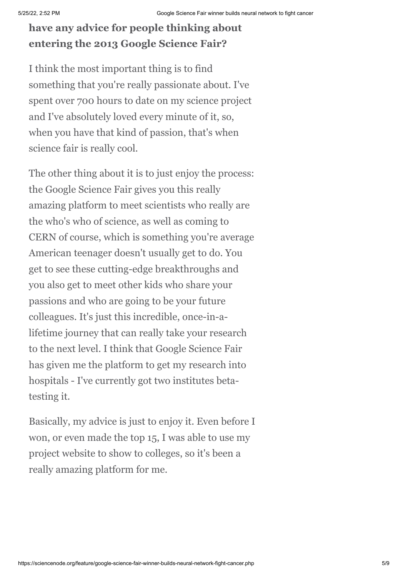## **have any advice for people thinking about entering the 2013 Google Science Fair?**

I think the most important thing is to find something that you're really passionate about. I've spent over 700 hours to date on my science project and I've absolutely loved every minute of it, so, when you have that kind of passion, that's when science fair is really cool.

The other thing about it is to just enjoy the process: the Google Science Fair gives you this really amazing platform to meet scientists who really are the who's who of science, as well as coming to CERN of course, which is something you're average American teenager doesn't usually get to do. You get to see these cutting-edge breakthroughs and you also get to meet other kids who share your passions and who are going to be your future colleagues. It's just this incredible, once-in-alifetime journey that can really take your research to the next level. I think that Google Science Fair has given me the platform to get my research into hospitals - I've currently got two institutes betatesting it.

Basically, my advice is just to enjoy it. Even before I won, or even made the top 15, I was able to use my project website to show to colleges, so it's been a really amazing platform for me.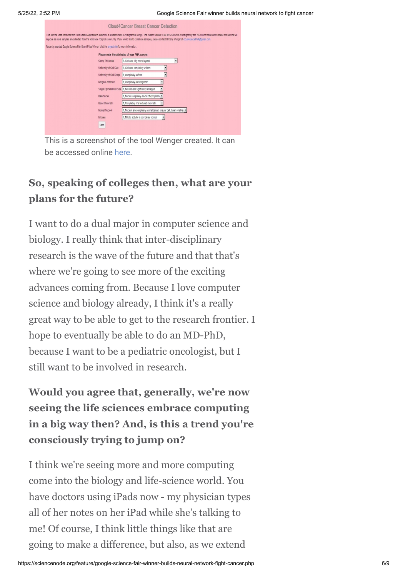

This is a screenshot of the tool Wenger created. It can be accessed online [here.](http://cloud4cancer.appspot.com/)

## **So, speaking of colleges then, what are your plans for the future?**

I want to do a dual major in computer science and biology. I really think that inter-disciplinary research is the wave of the future and that that's where we're going to see more of the exciting advances coming from. Because I love computer science and biology already, I think it's a really great way to be able to get to the research frontier. I hope to eventually be able to do an MD-PhD, because I want to be a pediatric oncologist, but I still want to be involved in research.

**Would you agree that, generally, we're now seeing the life sciences embrace computing in a big way then? And, is this a trend you're consciously trying to jump on?**

I think we're seeing more and more computing come into the biology and life-science world. You have doctors using iPads now - my physician types all of her notes on her iPad while she's talking to me! Of course, I think little things like that are going to make a difference, but also, as we extend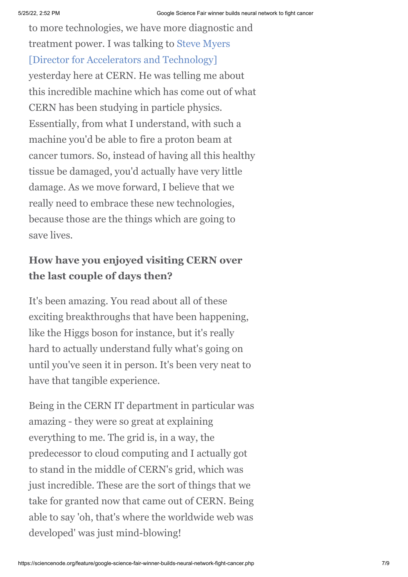to more technologies, we have more diagnostic and [treatment power. I was talking to Steve Myers](http://cdsweb.cern.ch/record/1156859) [Director for Accelerators and Technology] yesterday here at CERN. He was telling me about this incredible machine which has come out of what CERN has been studying in particle physics. Essentially, from what I understand, with such a machine you'd be able to fire a proton beam at cancer tumors. So, instead of having all this healthy tissue be damaged, you'd actually have very little damage. As we move forward, I believe that we really need to embrace these new technologies, because those are the things which are going to save lives.

## **How have you enjoyed visiting CERN over the last couple of days then?**

It's been amazing. You read about all of these exciting breakthroughs that have been happening, like the Higgs boson for instance, but it's really hard to actually understand fully what's going on until you've seen it in person. It's been very neat to have that tangible experience.

Being in the CERN IT department in particular was amazing - they were so great at explaining everything to me. The grid is, in a way, the predecessor to cloud computing and I actually got to stand in the middle of CERN's grid, which was just incredible. These are the sort of things that we take for granted now that came out of CERN. Being able to say 'oh, that's where the worldwide web was developed' was just mind-blowing!